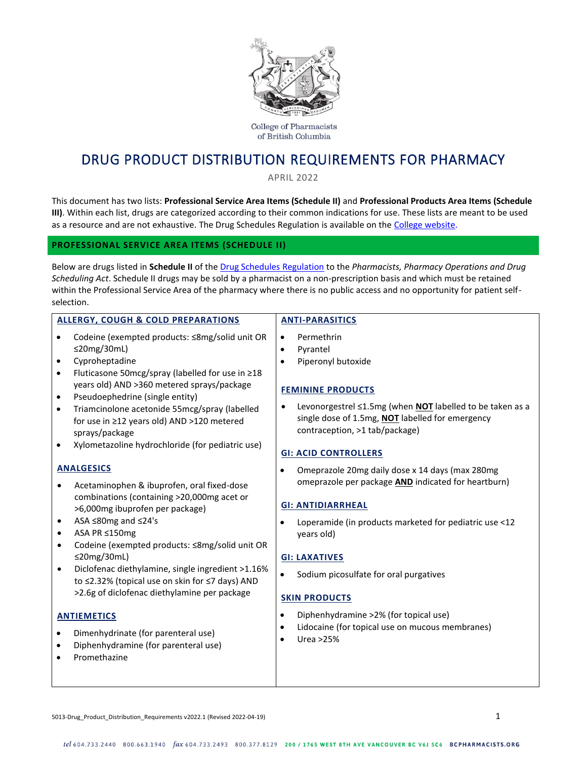

**College of Pharmacists** of British Columbia

# DRUG PRODUCT DISTRIBUTION REQUIREMENTS FOR PHARMACY

APRIL 2022

This document has two lists: **Professional Service Area Items (Schedule II)** and **Professional Products Area Items (Schedule III)**. Within each list, drugs are categorized according to their common indications for use. These lists are meant to be used as a resource and are not exhaustive. The Drug Schedules Regulation is available on the [College website.](http://www.bcpharmacists.org/drug-distribution)

### **PROFESSIONAL SERVICE AREA ITEMS (SCHEDULE II)**

Below are drugs listed in **Schedule II** of the [Drug Schedules](http://www.bclaws.ca/civix/document/id/complete/statreg/9_98) Regulation to the *Pharmacists, Pharmacy Operations and Drug Scheduling Act*. Schedule II drugs may be sold by a pharmacist on a non-prescription basis and which must be retained within the Professional Service Area of the pharmacy where there is no public access and no opportunity for patient selfselection.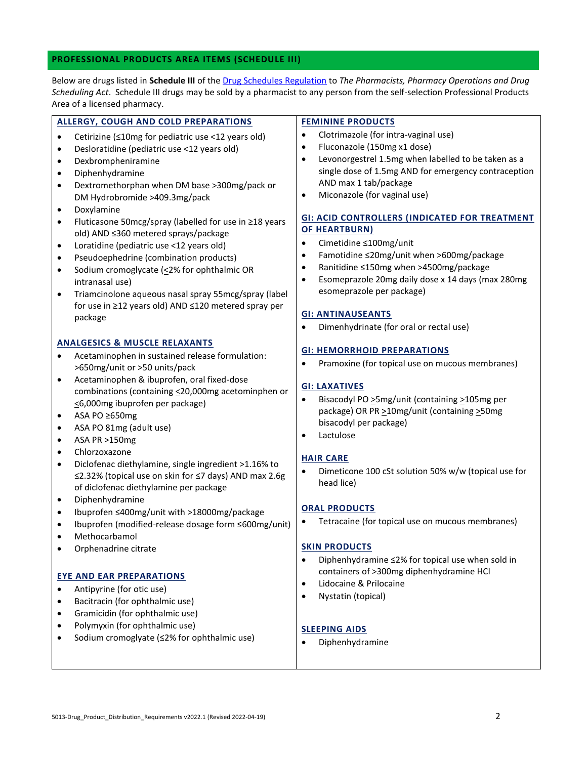## **PROFESSIONAL PRODUCTS AREA ITEMS (SCHEDULE III)**

Below are drugs listed in **Schedule III** of th[e Drug Schedules](http://www.bclaws.ca/civix/document/id/complete/statreg/9_98) Regulation to *The Pharmacists, Pharmacy Operations and Drug Scheduling Act*. Schedule III drugs may be sold by a pharmacist to any person from the self-selection Professional Products Area of a licensed pharmacy.

| ALLERGY, COUGH AND COLD PREPARATIONS                                                                                                                                                                                                                                                                                                                                                                                                                                                                                                                                                                                                                                                                                                                 | <b>FEMININE PRODUCTS</b>                                                                                                                                                                                                                                                                                                                                                                                                                                                                                                                                                                                                       |
|------------------------------------------------------------------------------------------------------------------------------------------------------------------------------------------------------------------------------------------------------------------------------------------------------------------------------------------------------------------------------------------------------------------------------------------------------------------------------------------------------------------------------------------------------------------------------------------------------------------------------------------------------------------------------------------------------------------------------------------------------|--------------------------------------------------------------------------------------------------------------------------------------------------------------------------------------------------------------------------------------------------------------------------------------------------------------------------------------------------------------------------------------------------------------------------------------------------------------------------------------------------------------------------------------------------------------------------------------------------------------------------------|
| Cetirizine (<10mg for pediatric use <12 years old)<br>$\bullet$<br>Desloratidine (pediatric use <12 years old)<br>$\bullet$<br>Dexbrompheniramine<br>$\bullet$<br>Diphenhydramine<br>$\bullet$<br>Dextromethorphan when DM base >300mg/pack or<br>$\bullet$<br>DM Hydrobromide >409.3mg/pack<br>Doxylamine<br>Fluticasone 50mcg/spray (labelled for use in ≥18 years<br>$\bullet$<br>old) AND ≤360 metered sprays/package<br>Loratidine (pediatric use <12 years old)<br>$\bullet$<br>Pseudoephedrine (combination products)<br>$\bullet$<br>Sodium cromoglycate (<2% for ophthalmic OR<br>$\bullet$<br>intranasal use)<br>Triamcinolone aqueous nasal spray 55mcg/spray (label<br>$\bullet$<br>for use in ≥12 years old) AND ≤120 metered spray per | Clotrimazole (for intra-vaginal use)<br>$\bullet$<br>Fluconazole (150mg x1 dose)<br>$\bullet$<br>Levonorgestrel 1.5mg when labelled to be taken as a<br>$\bullet$<br>single dose of 1.5mg AND for emergency contraception<br>AND max 1 tab/package<br>Miconazole (for vaginal use)<br>$\bullet$<br><b>GI: ACID CONTROLLERS (INDICATED FOR TREATMENT</b><br><b>OF HEARTBURN)</b><br>Cimetidine ≤100mg/unit<br>$\bullet$<br>Famotidine ≤20mg/unit when >600mg/package<br>$\bullet$<br>Ranitidine ≤150mg when >4500mg/package<br>٠<br>Esomeprazole 20mg daily dose x 14 days (max 280mg<br>$\bullet$<br>esomeprazole per package) |
| package                                                                                                                                                                                                                                                                                                                                                                                                                                                                                                                                                                                                                                                                                                                                              | <b>GI: ANTINAUSEANTS</b><br>Dimenhydrinate (for oral or rectal use)<br>$\bullet$                                                                                                                                                                                                                                                                                                                                                                                                                                                                                                                                               |
| <b>ANALGESICS &amp; MUSCLE RELAXANTS</b><br>Acetaminophen in sustained release formulation:                                                                                                                                                                                                                                                                                                                                                                                                                                                                                                                                                                                                                                                          | <b>GI: HEMORRHOID PREPARATIONS</b>                                                                                                                                                                                                                                                                                                                                                                                                                                                                                                                                                                                             |
| >650mg/unit or >50 units/pack                                                                                                                                                                                                                                                                                                                                                                                                                                                                                                                                                                                                                                                                                                                        | Pramoxine (for topical use on mucous membranes)<br>$\bullet$                                                                                                                                                                                                                                                                                                                                                                                                                                                                                                                                                                   |
| Acetaminophen & ibuprofen, oral fixed-dose<br>$\bullet$<br>combinations (containing <20,000mg acetominphen or<br><6,000mg ibuprofen per package)<br>ASA PO ≥650mg<br>$\bullet$<br>ASA PO 81mg (adult use)<br>$\bullet$<br>ASA PR >150mg<br>$\bullet$                                                                                                                                                                                                                                                                                                                                                                                                                                                                                                 | <b>GI: LAXATIVES</b><br>Bisacodyl PO > 5mg/unit (containing > 105mg per<br>$\bullet$<br>package) OR PR > 10mg/unit (containing > 50mg<br>bisacodyl per package)<br>Lactulose<br>٠                                                                                                                                                                                                                                                                                                                                                                                                                                              |
| Chlorzoxazone<br>$\bullet$<br>Diclofenac diethylamine, single ingredient >1.16% to<br>$\bullet$<br>≤2.32% (topical use on skin for ≤7 days) AND max 2.6g<br>of diclofenac diethylamine per package<br>Diphenhydramine<br>$\bullet$                                                                                                                                                                                                                                                                                                                                                                                                                                                                                                                   | <b>HAIR CARE</b><br>Dimeticone 100 cSt solution 50% w/w (topical use for<br>٠<br>head lice)                                                                                                                                                                                                                                                                                                                                                                                                                                                                                                                                    |
| Ibuprofen ≤400mg/unit with >18000mg/package<br>$\bullet$<br>Ibuprofen (modified-release dosage form ≤600mg/unit)<br>$\bullet$<br>Methocarbamol<br>Orphenadrine citrate<br><b>EYE AND EAR PREPARATIONS</b>                                                                                                                                                                                                                                                                                                                                                                                                                                                                                                                                            | <b>ORAL PRODUCTS</b><br>Tetracaine (for topical use on mucous membranes)<br><b>SKIN PRODUCTS</b><br>Diphenhydramine ≤2% for topical use when sold in<br>$\bullet$<br>containers of >300mg diphenhydramine HCl<br>Lidocaine & Prilocaine<br>$\bullet$                                                                                                                                                                                                                                                                                                                                                                           |
| Antipyrine (for otic use)<br>Bacitracin (for ophthalmic use)<br>Gramicidin (for ophthalmic use)<br>Polymyxin (for ophthalmic use)<br>Sodium cromoglyate (≤2% for ophthalmic use)                                                                                                                                                                                                                                                                                                                                                                                                                                                                                                                                                                     | Nystatin (topical)<br>$\bullet$<br><b>SLEEPING AIDS</b><br>Diphenhydramine<br>$\bullet$                                                                                                                                                                                                                                                                                                                                                                                                                                                                                                                                        |
|                                                                                                                                                                                                                                                                                                                                                                                                                                                                                                                                                                                                                                                                                                                                                      |                                                                                                                                                                                                                                                                                                                                                                                                                                                                                                                                                                                                                                |